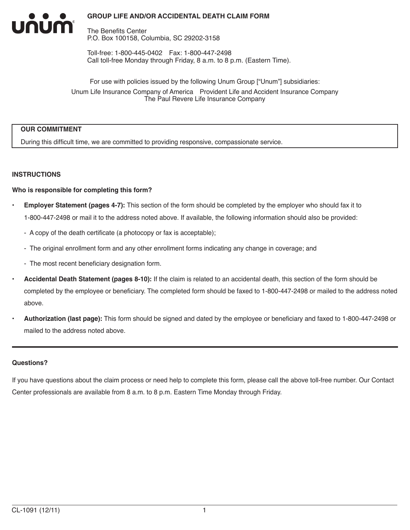The Benefits Center P.O. Box 100158, Columbia, SC 29202-3158

Toll-free: 1-800-445-0402 Fax: 1-800-447-2498 Call toll-free Monday through Friday, 8 a.m. to 8 p.m. (Eastern Time).

For use with policies issued by the following Unum Group ["Unum"] subsidiaries: Unum Life Insurance Company of America Provident Life and Accident Insurance Company The Paul Revere Life Insurance Company

#### **OUR COMMITMENT**

INUM

During this difficult time, we are committed to providing responsive, compassionate service.

#### **INSTRUCTIONS**

#### **Who is responsible for completing this form?**

- **Employer Statement (pages 4-7):** This section of the form should be completed by the employer who should fax it to 1-800-447-2498 or mail it to the address noted above. If available, the following information should also be provided:
	- A copy of the death certificate (a photocopy or fax is acceptable);
	- The original enrollment form and any other enrollment forms indicating any change in coverage; and
	- The most recent beneficiary designation form.
- **Accidental Death Statement (pages 8-10):** If the claim is related to an accidental death, this section of the form should be completed by the employee or beneficiary. The completed form should be faxed to 1-800-447-2498 or mailed to the address noted above.
- **Authorization (last page):** This form should be signed and dated by the employee or beneficiary and faxed to 1-800-447-2498 or mailed to the address noted above.

#### **Questions?**

If you have questions about the claim process or need help to complete this form, please call the above toll-free number. Our Contact Center professionals are available from 8 a.m. to 8 p.m. Eastern Time Monday through Friday.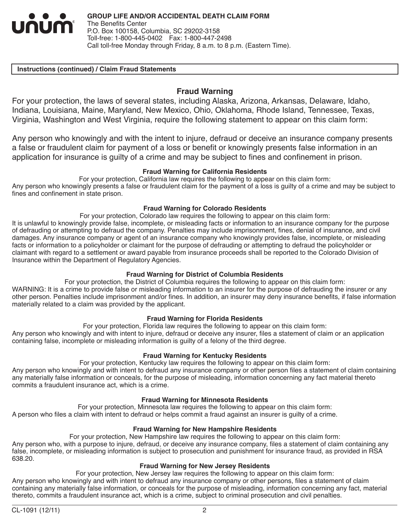

#### **Instructions (continued) / Claim Fraud Statements**

### **Fraud Warning**

For your protection, the laws of several states, including Alaska, Arizona, Arkansas, Delaware, Idaho, Indiana, Louisiana, Maine, Maryland, New Mexico, Ohio, Oklahoma, Rhode Island, Tennessee, Texas, Virginia, Washington and West Virginia, require the following statement to appear on this claim form:

Any person who knowingly and with the intent to injure, defraud or deceive an insurance company presents a false or fraudulent claim for payment of a loss or benefit or knowingly presents false information in an application for insurance is guilty of a crime and may be subject to fines and confinement in prison.

#### **Fraud Warning for California Residents**

For your protection, California law requires the following to appear on this claim form: Any person who knowingly presents a false or fraudulent claim for the payment of a loss is guilty of a crime and may be subject to fines and confinement in state prison.

#### **Fraud Warning for Colorado Residents**

For your protection, Colorado law requires the following to appear on this claim form: It is unlawful to knowingly provide false, incomplete, or misleading facts or information to an insurance company for the purpose of defrauding or attempting to defraud the company. Penalties may include imprisonment, fines, denial of insurance, and civil damages. Any insurance company or agent of an insurance company who knowingly provides false, incomplete, or misleading facts or information to a policyholder or claimant for the purpose of defrauding or attempting to defraud the policyholder or claimant with regard to a settlement or award payable from insurance proceeds shall be reported to the Colorado Division of Insurance within the Department of Regulatory Agencies.

#### **Fraud Warning for District of Columbia Residents**

For your protection, the District of Columbia requires the following to appear on this claim form: WARNING: It is a crime to provide false or misleading information to an insurer for the purpose of defrauding the insurer or any other person. Penalties include imprisonment and/or fines. In addition, an insurer may deny insurance benefits, if false information materially related to a claim was provided by the applicant.

#### **Fraud Warning for Florida Residents**

For your protection, Florida law requires the following to appear on this claim form: Any person who knowingly and with intent to injure, defraud or deceive any insurer, files a statement of claim or an application containing false, incomplete or misleading information is guilty of a felony of the third degree.

#### **Fraud Warning for Kentucky Residents**

For your protection, Kentucky law requires the following to appear on this claim form:

Any person who knowingly and with intent to defraud any insurance company or other person files a statement of claim containing any materially false information or conceals, for the purpose of misleading, information concerning any fact material thereto commits a fraudulent insurance act, which is a crime.

#### **Fraud Warning for Minnesota Residents**

For your protection, Minnesota law requires the following to appear on this claim form: A person who files a claim with intent to defraud or helps commit a fraud against an insurer is guilty of a crime.

#### **Fraud Warning for New Hampshire Residents**

For your protection, New Hampshire law requires the following to appear on this claim form:

Any person who, with a purpose to injure, defraud, or deceive any insurance company, files a statement of claim containing any false, incomplete, or misleading information is subject to prosecution and punishment for insurance fraud, as provided in RSA 638.20.

#### **Fraud Warning for New Jersey Residents**

For your protection, New Jersey law requires the following to appear on this claim form: Any person who knowingly and with intent to defraud any insurance company or other persons, files a statement of claim containing any materially false information, or conceals for the purpose of misleading, information concerning any fact, material thereto, commits a fraudulent insurance act, which is a crime, subject to criminal prosecution and civil penalties.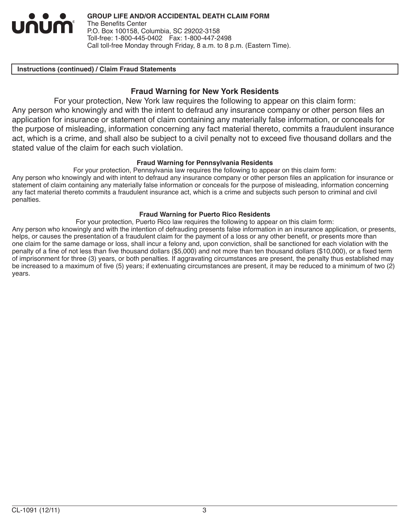

#### **Instructions (continued) / Claim Fraud Statements**

# **Fraud Warning for New York Residents**

For your protection, New York law requires the following to appear on this claim form: Any person who knowingly and with the intent to defraud any insurance company or other person files an application for insurance or statement of claim containing any materially false information, or conceals for the purpose of misleading, information concerning any fact material thereto, commits a fraudulent insurance act, which is a crime, and shall also be subject to a civil penalty not to exceed five thousand dollars and the stated value of the claim for each such violation.

#### **Fraud Warning for Pennsylvania Residents**

For your protection, Pennsylvania law requires the following to appear on this claim form:

Any person who knowingly and with intent to defraud any insurance company or other person files an application for insurance or statement of claim containing any materially false information or conceals for the purpose of misleading, information concerning any fact material thereto commits a fraudulent insurance act, which is a crime and subjects such person to criminal and civil penalties.

#### **Fraud Warning for Puerto Rico Residents**

For your protection, Puerto Rico law requires the following to appear on this claim form:

Any person who knowingly and with the intention of defrauding presents false information in an insurance application, or presents, helps, or causes the presentation of a fraudulent claim for the payment of a loss or any other benefit, or presents more than one claim for the same damage or loss, shall incur a felony and, upon conviction, shall be sanctioned for each violation with the penalty of a fine of not less than five thousand dollars (\$5,000) and not more than ten thousand dollars (\$10,000), or a fixed term of imprisonment for three (3) years, or both penalties. If aggravating circumstances are present, the penalty thus established may be increased to a maximum of five (5) years; if extenuating circumstances are present, it may be reduced to a minimum of two (2) years.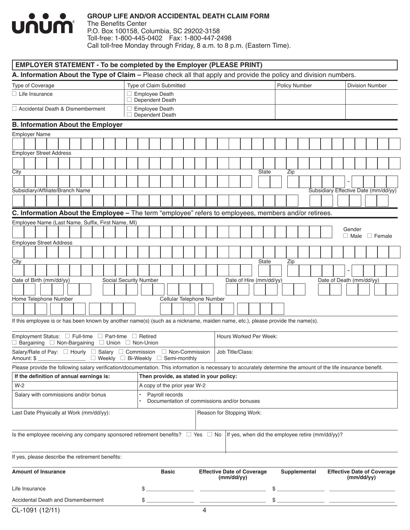

The Benefits Center P.O. Box 100158, Columbia, SC 29202-3158 Toll-free: 1-800-445-0402 Fax: 1-800-447-2498 Call toll-free Monday through Friday, 8 a.m. to 8 p.m. (Eastern Time).

| A. Information About the Type of Claim – Please check all that apply and provide the policy and division numbers.                                               |                                                      |                                                 |                      |                                                 |
|-----------------------------------------------------------------------------------------------------------------------------------------------------------------|------------------------------------------------------|-------------------------------------------------|----------------------|-------------------------------------------------|
| <b>Type of Coverage</b>                                                                                                                                         | Type of Claim Submitted                              |                                                 | <b>Policy Number</b> | <b>Division Number</b>                          |
| $\Box$ Life Insurance                                                                                                                                           | $\Box$ Employee Death<br>Dependent Death             |                                                 |                      |                                                 |
| □ Accidental Death & Dismemberment                                                                                                                              | <b>Employee Death</b><br>□<br>$\Box$ Dependent Death |                                                 |                      |                                                 |
| <b>B. Information About the Employer</b>                                                                                                                        |                                                      |                                                 |                      |                                                 |
| Employer Name                                                                                                                                                   |                                                      |                                                 |                      |                                                 |
|                                                                                                                                                                 |                                                      |                                                 |                      |                                                 |
| <b>Employer Street Address</b>                                                                                                                                  |                                                      |                                                 |                      |                                                 |
|                                                                                                                                                                 |                                                      |                                                 |                      |                                                 |
| City                                                                                                                                                            |                                                      | <b>State</b>                                    | Zip                  |                                                 |
|                                                                                                                                                                 |                                                      |                                                 |                      |                                                 |
| Subsidiary/Affiliate/Branch Name                                                                                                                                |                                                      |                                                 |                      | Subsidiary Effective Date (mm/dd/yy)            |
|                                                                                                                                                                 |                                                      |                                                 |                      |                                                 |
| C. Information About the Employee - The term "employee" refers to employees, members and/or retirees.                                                           |                                                      |                                                 |                      |                                                 |
| Employee Name (Last Name, Suffix, First Name, MI)                                                                                                               |                                                      |                                                 |                      |                                                 |
|                                                                                                                                                                 |                                                      |                                                 |                      | Gender                                          |
| <b>Employee Street Address</b>                                                                                                                                  |                                                      |                                                 |                      | $\Box$ Male<br>$\Box$ Female                    |
|                                                                                                                                                                 |                                                      |                                                 |                      |                                                 |
| City                                                                                                                                                            |                                                      | State                                           | Zip                  |                                                 |
|                                                                                                                                                                 |                                                      |                                                 |                      |                                                 |
| Date of Birth (mm/dd/yy)                                                                                                                                        | Social Security Number                               | Date of Hire (mm/dd/yy)                         |                      | Date of Death (mm/dd/yy)                        |
|                                                                                                                                                                 |                                                      |                                                 |                      |                                                 |
| Home Telephone Number                                                                                                                                           | Cellular Telephone Number                            |                                                 |                      |                                                 |
|                                                                                                                                                                 |                                                      |                                                 |                      |                                                 |
|                                                                                                                                                                 |                                                      |                                                 |                      |                                                 |
| If this employee is or has been known by another name(s) (such as a nickname, maiden name, etc.), please provide the name(s).                                   |                                                      |                                                 |                      |                                                 |
| Employment Status: □ Full-time □ Part-time □ Retired                                                                                                            |                                                      | Hours Worked Per Week:                          |                      |                                                 |
| $\Box$ Bargaining $\Box$ Non-Bargaining $\Box$ Union $\Box$ Non-Union                                                                                           |                                                      |                                                 |                      |                                                 |
| Salary/Rate of Pay: $\Box$ Hourly $\Box$ Salary $\Box$ Commission<br>$\Box$ Weekly $\Box$ Bi-Weekly<br>Amount: \$                                               | □ Non-Commission<br>□ Semi-monthly                   | Job Title/Class:                                |                      |                                                 |
| Please provide the following salary verification/documentation. This information is necessary to accurately determine the amount of the life insurance benefit. |                                                      |                                                 |                      |                                                 |
| If the definition of annual earnings is:                                                                                                                        | Then provide, as stated in your policy:              |                                                 |                      |                                                 |
| $W-2$                                                                                                                                                           | A copy of the prior year W-2                         |                                                 |                      |                                                 |
| Salary with commissions and/or bonus                                                                                                                            | Payroll records                                      | Documentation of commissions and/or bonuses     |                      |                                                 |
| Last Date Physically at Work (mm/dd/yy):                                                                                                                        |                                                      | Reason for Stopping Work:                       |                      |                                                 |
| Is the employee receiving any company sponsored retirement benefits? $\Box$ Yes $\Box$ No  If yes, when did the employee retire (mm/dd/yy)?                     |                                                      |                                                 |                      |                                                 |
| If yes, please describe the retirement benefits:                                                                                                                |                                                      |                                                 |                      |                                                 |
| <b>Amount of Insurance</b>                                                                                                                                      | <b>Basic</b>                                         | <b>Effective Date of Coverage</b><br>(mm/dd/yy) | Supplemental         | <b>Effective Date of Coverage</b><br>(mm/dd/yy) |
| Life Insurance                                                                                                                                                  | \$                                                   |                                                 | \$                   |                                                 |
| Accidental Death and Dismemberment                                                                                                                              |                                                      | $\frac{1}{2}$                                   | $\frac{1}{2}$        |                                                 |
|                                                                                                                                                                 |                                                      |                                                 |                      |                                                 |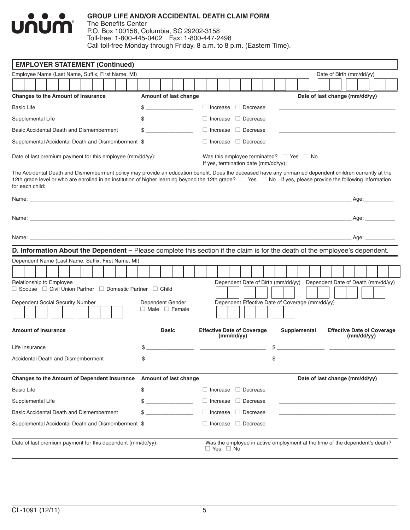

|                   |                                                                                                                                                                                                                                                                                         |  | <b>EMPLOYER STATEMENT (Continued)</b>                                                                                                                                                                                                                                                                                    |  |  |  |  |  |  |    |                                               |  |              |  |  |                                                                                                                                                                                                                                   |                                                                                            |                                                 |                          |  |    |  |  |              |  |                                                                                                                                                                                                                                      |  |  |                      |  |  |  |
|-------------------|-----------------------------------------------------------------------------------------------------------------------------------------------------------------------------------------------------------------------------------------------------------------------------------------|--|--------------------------------------------------------------------------------------------------------------------------------------------------------------------------------------------------------------------------------------------------------------------------------------------------------------------------|--|--|--|--|--|--|----|-----------------------------------------------|--|--------------|--|--|-----------------------------------------------------------------------------------------------------------------------------------------------------------------------------------------------------------------------------------|--------------------------------------------------------------------------------------------|-------------------------------------------------|--------------------------|--|----|--|--|--------------|--|--------------------------------------------------------------------------------------------------------------------------------------------------------------------------------------------------------------------------------------|--|--|----------------------|--|--|--|
|                   | Employee Name (Last Name, Suffix, First Name, MI)<br><b>Changes to the Amount of Insurance</b><br>Amount of last change                                                                                                                                                                 |  |                                                                                                                                                                                                                                                                                                                          |  |  |  |  |  |  |    |                                               |  |              |  |  |                                                                                                                                                                                                                                   |                                                                                            |                                                 | Date of Birth (mm/dd/yy) |  |    |  |  |              |  |                                                                                                                                                                                                                                      |  |  |                      |  |  |  |
|                   |                                                                                                                                                                                                                                                                                         |  |                                                                                                                                                                                                                                                                                                                          |  |  |  |  |  |  |    |                                               |  |              |  |  |                                                                                                                                                                                                                                   |                                                                                            |                                                 |                          |  |    |  |  |              |  |                                                                                                                                                                                                                                      |  |  |                      |  |  |  |
|                   |                                                                                                                                                                                                                                                                                         |  |                                                                                                                                                                                                                                                                                                                          |  |  |  |  |  |  |    |                                               |  |              |  |  |                                                                                                                                                                                                                                   |                                                                                            |                                                 |                          |  |    |  |  |              |  | Date of last change (mm/dd/yy)                                                                                                                                                                                                       |  |  |                      |  |  |  |
| <b>Basic Life</b> | $\Box$ Increase $\Box$ Decrease<br>$\frac{1}{2}$<br>$\Box$ Increase $\Box$ Decrease<br>Supplemental Life<br>Basic Accidental Death and Dismemberment<br>$\frac{1}{2}$<br>$\Box$ Increase $\Box$ Decrease<br>□ Increase □ Decrease<br>Supplemental Accidental Death and Dismemberment \$ |  |                                                                                                                                                                                                                                                                                                                          |  |  |  |  |  |  |    |                                               |  |              |  |  |                                                                                                                                                                                                                                   |                                                                                            |                                                 |                          |  |    |  |  |              |  |                                                                                                                                                                                                                                      |  |  |                      |  |  |  |
|                   |                                                                                                                                                                                                                                                                                         |  |                                                                                                                                                                                                                                                                                                                          |  |  |  |  |  |  |    |                                               |  |              |  |  |                                                                                                                                                                                                                                   |                                                                                            |                                                 |                          |  |    |  |  |              |  |                                                                                                                                                                                                                                      |  |  |                      |  |  |  |
|                   |                                                                                                                                                                                                                                                                                         |  |                                                                                                                                                                                                                                                                                                                          |  |  |  |  |  |  |    |                                               |  |              |  |  |                                                                                                                                                                                                                                   |                                                                                            |                                                 |                          |  |    |  |  |              |  |                                                                                                                                                                                                                                      |  |  |                      |  |  |  |
|                   |                                                                                                                                                                                                                                                                                         |  |                                                                                                                                                                                                                                                                                                                          |  |  |  |  |  |  |    |                                               |  |              |  |  |                                                                                                                                                                                                                                   |                                                                                            |                                                 |                          |  |    |  |  |              |  | the control of the control of the control of the control of the control of the control of                                                                                                                                            |  |  |                      |  |  |  |
|                   |                                                                                                                                                                                                                                                                                         |  | Date of last premium payment for this employee (mm/dd/yy):                                                                                                                                                                                                                                                               |  |  |  |  |  |  |    |                                               |  |              |  |  |                                                                                                                                                                                                                                   | Was this employee terminated? $\Box$ Yes $\Box$ No<br>If yes, termination date (mm/dd/yy): |                                                 |                          |  |    |  |  |              |  |                                                                                                                                                                                                                                      |  |  |                      |  |  |  |
|                   | for each child:                                                                                                                                                                                                                                                                         |  | The Accidental Death and Dismemberment policy may provide an education benefit. Does the deceased have any unmarried dependent children currently at the<br>12th grade level or who are enrolled in an institution of higher learning beyond the 12th grade? □ Yes □ No If yes, please provide the following information |  |  |  |  |  |  |    |                                               |  |              |  |  |                                                                                                                                                                                                                                   |                                                                                            |                                                 |                          |  |    |  |  |              |  |                                                                                                                                                                                                                                      |  |  |                      |  |  |  |
|                   |                                                                                                                                                                                                                                                                                         |  |                                                                                                                                                                                                                                                                                                                          |  |  |  |  |  |  |    |                                               |  |              |  |  |                                                                                                                                                                                                                                   |                                                                                            |                                                 |                          |  |    |  |  |              |  |                                                                                                                                                                                                                                      |  |  | Age:___________      |  |  |  |
|                   |                                                                                                                                                                                                                                                                                         |  | Name: Name: Name: Name: Name: Name: Name: Name: Name: Name: Name: Name: Name: Name: Name: Name: Name: Name: Name: Name: Name: Name: Name: Name: Name: Name: Name: Name: Name: Name: Name: Name: Name: Name: Name: Name: Name:                                                                                            |  |  |  |  |  |  |    |                                               |  |              |  |  |                                                                                                                                                                                                                                   |                                                                                            |                                                 |                          |  |    |  |  |              |  |                                                                                                                                                                                                                                      |  |  | Age:                 |  |  |  |
|                   |                                                                                                                                                                                                                                                                                         |  |                                                                                                                                                                                                                                                                                                                          |  |  |  |  |  |  |    |                                               |  |              |  |  |                                                                                                                                                                                                                                   |                                                                                            |                                                 |                          |  |    |  |  |              |  |                                                                                                                                                                                                                                      |  |  | Age: $\qquad \qquad$ |  |  |  |
|                   |                                                                                                                                                                                                                                                                                         |  | D. Information About the Dependent - Please complete this section if the claim is for the death of the employee's dependent.                                                                                                                                                                                             |  |  |  |  |  |  |    |                                               |  |              |  |  |                                                                                                                                                                                                                                   |                                                                                            |                                                 |                          |  |    |  |  |              |  |                                                                                                                                                                                                                                      |  |  |                      |  |  |  |
|                   |                                                                                                                                                                                                                                                                                         |  | Dependent Name (Last Name, Suffix, First Name, MI)                                                                                                                                                                                                                                                                       |  |  |  |  |  |  |    |                                               |  |              |  |  |                                                                                                                                                                                                                                   |                                                                                            |                                                 |                          |  |    |  |  |              |  |                                                                                                                                                                                                                                      |  |  |                      |  |  |  |
|                   |                                                                                                                                                                                                                                                                                         |  |                                                                                                                                                                                                                                                                                                                          |  |  |  |  |  |  |    |                                               |  |              |  |  |                                                                                                                                                                                                                                   |                                                                                            |                                                 |                          |  |    |  |  |              |  |                                                                                                                                                                                                                                      |  |  |                      |  |  |  |
|                   |                                                                                                                                                                                                                                                                                         |  | Relationship to Employee<br>$\Box$ Spouse $\Box$ Civil Union Partner $\Box$ Domestic Partner $\Box$ Child                                                                                                                                                                                                                |  |  |  |  |  |  |    |                                               |  |              |  |  |                                                                                                                                                                                                                                   |                                                                                            |                                                 |                          |  |    |  |  |              |  | Dependent Date of Birth (mm/dd/yy) Dependent Date of Death (mm/dd/yy)                                                                                                                                                                |  |  |                      |  |  |  |
|                   |                                                                                                                                                                                                                                                                                         |  | Dependent Social Security Number                                                                                                                                                                                                                                                                                         |  |  |  |  |  |  |    | Dependent Gender<br>$\Box$ Male $\Box$ Female |  |              |  |  |                                                                                                                                                                                                                                   |                                                                                            | Dependent Effective Date of Coverage (mm/dd/yy) |                          |  |    |  |  |              |  |                                                                                                                                                                                                                                      |  |  |                      |  |  |  |
|                   |                                                                                                                                                                                                                                                                                         |  | <b>Amount of Insurance</b>                                                                                                                                                                                                                                                                                               |  |  |  |  |  |  |    |                                               |  | <b>Basic</b> |  |  | <b>Effective Date of Coverage</b>                                                                                                                                                                                                 |                                                                                            | (mm/dd/yy)                                      |                          |  |    |  |  | Supplemental |  | <b>Effective Date of Coverage</b>                                                                                                                                                                                                    |  |  | (mm/dd/yy)           |  |  |  |
|                   | Life Insurance                                                                                                                                                                                                                                                                          |  |                                                                                                                                                                                                                                                                                                                          |  |  |  |  |  |  |    |                                               |  |              |  |  | $\frac{1}{2}$ , we can also the contract of the contract of the contract of the contract of the contract of the contract of the contract of the contract of the contract of the contract of the contract of the contract of the c |                                                                                            |                                                 |                          |  |    |  |  |              |  | $\frac{1}{2}$                                                                                                                                                                                                                        |  |  |                      |  |  |  |
|                   |                                                                                                                                                                                                                                                                                         |  | <b>Accidental Death and Dismemberment</b>                                                                                                                                                                                                                                                                                |  |  |  |  |  |  | \$ |                                               |  |              |  |  | <u> De Carlos de Carlos de Carlos de Carlos de Carlos de Carlos de Carlos de Carlos de Carlos de Carlos de Carlos d</u>                                                                                                           |                                                                                            |                                                 |                          |  | \$ |  |  |              |  | <u> The Communication of the Communication of the Communication of the Communication of the Communication of the Communication of the Communication of the Communication of the Communication of the Communication of the Commun</u> |  |  |                      |  |  |  |
|                   |                                                                                                                                                                                                                                                                                         |  | <b>Changes to the Amount of Dependent Insurance</b>                                                                                                                                                                                                                                                                      |  |  |  |  |  |  |    | Amount of last change                         |  |              |  |  |                                                                                                                                                                                                                                   |                                                                                            |                                                 |                          |  |    |  |  |              |  | Date of last change (mm/dd/yy)                                                                                                                                                                                                       |  |  |                      |  |  |  |
| <b>Basic Life</b> |                                                                                                                                                                                                                                                                                         |  |                                                                                                                                                                                                                                                                                                                          |  |  |  |  |  |  |    | $\frac{1}{2}$                                 |  |              |  |  |                                                                                                                                                                                                                                   | $\Box$ Increase                                                                            |                                                 | $\Box$ Decrease          |  |    |  |  |              |  |                                                                                                                                                                                                                                      |  |  |                      |  |  |  |
|                   | Supplemental Life                                                                                                                                                                                                                                                                       |  |                                                                                                                                                                                                                                                                                                                          |  |  |  |  |  |  | \$ |                                               |  |              |  |  |                                                                                                                                                                                                                                   | $\Box$ Increase $\Box$ Decrease                                                            |                                                 |                          |  |    |  |  |              |  |                                                                                                                                                                                                                                      |  |  |                      |  |  |  |
|                   |                                                                                                                                                                                                                                                                                         |  | Basic Accidental Death and Dismemberment                                                                                                                                                                                                                                                                                 |  |  |  |  |  |  | \$ |                                               |  |              |  |  |                                                                                                                                                                                                                                   | $\Box$ Increase                                                                            |                                                 | Decrease                 |  |    |  |  |              |  |                                                                                                                                                                                                                                      |  |  |                      |  |  |  |
|                   |                                                                                                                                                                                                                                                                                         |  | Supplemental Accidental Death and Dismemberment \$                                                                                                                                                                                                                                                                       |  |  |  |  |  |  |    |                                               |  |              |  |  |                                                                                                                                                                                                                                   | $\Box$ Increase $\Box$ Decrease                                                            |                                                 |                          |  |    |  |  |              |  |                                                                                                                                                                                                                                      |  |  |                      |  |  |  |
|                   |                                                                                                                                                                                                                                                                                         |  | Date of last premium payment for this dependent (mm/dd/yy):                                                                                                                                                                                                                                                              |  |  |  |  |  |  |    |                                               |  |              |  |  |                                                                                                                                                                                                                                   | $\Box$ Yes $\Box$ No                                                                       |                                                 |                          |  |    |  |  |              |  | Was the employee in active employment at the time of the dependent's death?                                                                                                                                                          |  |  |                      |  |  |  |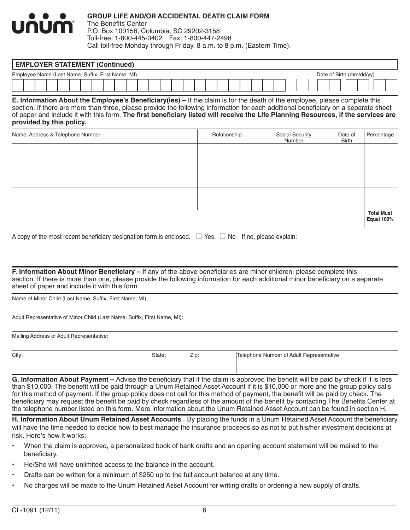

The Benefits Center P.O. Box 100158, Columbia, SC 29202-3158 Toll-free: 1-800-445-0402 Fax: 1-800-447-2498 Call toll-free Monday through Friday, 8 a.m. to 8 p.m. (Eastern Time).

| <b>EMPLOYER STATEMENT (Continued)</b>                                         |  |  |  |  |  |  |  |  |  |  |  |  |  |  |  |  |  |  |  |  |  |  |  |
|-------------------------------------------------------------------------------|--|--|--|--|--|--|--|--|--|--|--|--|--|--|--|--|--|--|--|--|--|--|--|
| Employee Name (Last Name, Suffix, First Name, MI)<br>Date of Birth (mm/dd/yy) |  |  |  |  |  |  |  |  |  |  |  |  |  |  |  |  |  |  |  |  |  |  |  |
|                                                                               |  |  |  |  |  |  |  |  |  |  |  |  |  |  |  |  |  |  |  |  |  |  |  |

**E. Information About the Employee's Beneficiary(ies) –** If the claim is for the death of the employee, please complete this section. If there are more than three, please provide the following information for each additional beneficiary on a separate sheet of paper and include it with this form. **The first beneficiary listed will receive the Life Planning Resources, if the services are provided by this policy.**

| Name, Address & Telephone Number | Relationship | Social Security<br>Number | Date of<br>Birth | Percentage                      |
|----------------------------------|--------------|---------------------------|------------------|---------------------------------|
|                                  |              |                           |                  |                                 |
|                                  |              |                           |                  |                                 |
|                                  |              |                           |                  |                                 |
|                                  |              |                           |                  |                                 |
|                                  |              |                           |                  |                                 |
|                                  |              |                           |                  | <b>Total Must</b><br>Equal 100% |

| A copy of the most recent beneficiary designation form is enclosed. $\Box$ Yes $\Box$ No If no, please explain: |  |  |  |
|-----------------------------------------------------------------------------------------------------------------|--|--|--|
|-----------------------------------------------------------------------------------------------------------------|--|--|--|

**F. Information About Minor Beneficiary –** If any of the above beneficiaries are minor children, please complete this section. If there is more than one, please provide the following information for each additional minor beneficiary on a separate sheet of paper and include it with this form.

Name of Minor Child (Last Name, Suffix, First Name, MI):

Adult Representative of Minor Child (Last Name, Suffix, First Name, MI):

Mailing Address of Adult Representative:

| City: | State: | Zip | Telephone Number of Adult Representative: |
|-------|--------|-----|-------------------------------------------|
|       |        |     |                                           |

**G. Information About Payment –** Advise the beneficiary that if the claim is approved the benefit will be paid by check if it is less than \$10,000. The benefit will be paid through a Unum Retained Asset Account if it is \$10,000 or more and the group policy calls for this method of payment. If the group policy does not call for this method of payment, the benefit will be paid by check. The beneficiary may request the benefit be paid by check regardless of the amount of the benefit by contacting The Benefits Center at the telephone number listed on this form. More information about the Unum Retained Asset Account can be found in section H.

**H. Information About Unum Retained Asset Accounts** – By placing the funds in a Unum Retained Asset Account the beneficiary will have the time needed to decide how to best manage the insurance proceeds so as not to put his/her investment decisions at risk. Here's how it works:

- When the claim is approved, a personalized book of bank drafts and an opening account statement will be mailed to the beneficiary.
- He/She will have unlimited access to the balance in the account.
- Drafts can be written for a minimum of \$250 up to the full account balance at any time.
- No charges will be made to the Unum Retained Asset Account for writing drafts or ordering a new supply of drafts.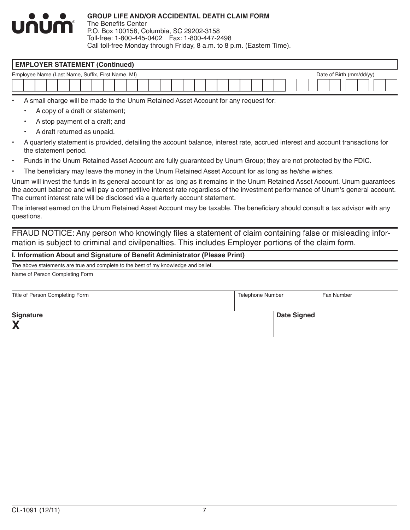

The Benefits Center P.O. Box 100158, Columbia, SC 29202-3158 Toll-free: 1-800-445-0402 Fax: 1-800-447-2498 Call toll-free Monday through Friday, 8 a.m. to 8 p.m. (Eastern Time).

# **EMPLOYER STATEMENT (Continued)** Employee Name (Last Name, Suffix, First Name, MI) Date of Birth (mm/dd/yy)

• A small charge will be made to the Unum Retained Asset Account for any request for:

- A copy of a draft or statement;
- A stop payment of a draft; and
- A draft returned as unpaid.
- A quarterly statement is provided, detailing the account balance, interest rate, accrued interest and account transactions for the statement period.
- Funds in the Unum Retained Asset Account are fully guaranteed by Unum Group; they are not protected by the FDIC.
- The beneficiary may leave the money in the Unum Retained Asset Account for as long as he/she wishes.

Unum will invest the funds in its general account for as long as it remains in the Unum Retained Asset Account. Unum guarantees the account balance and will pay a competitive interest rate regardless of the investment performance of Unum's general account. The current interest rate will be disclosed via a quarterly account statement.

The interest earned on the Unum Retained Asset Account may be taxable. The beneficiary should consult a tax advisor with any questions.

FRAUD NOTICE: Any person who knowingly files a statement of claim containing false or misleading information is subject to criminal and civilpenalties. This includes Employer portions of the claim form.

#### **I. Information About and Signature of Benefit Administrator (Please Print)**

The above statements are true and complete to the best of my knowledge and belief.

Name of Person Completing Form

| Title of Person Completing Form | <b>Telephone Number</b> | Fax Number |
|---------------------------------|-------------------------|------------|
| <b>Signature</b><br>X           | <b>Date Signed</b>      |            |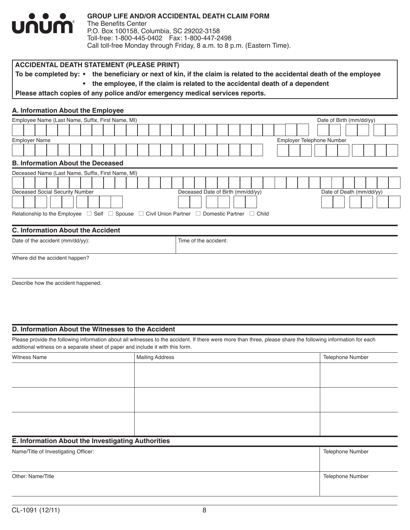

To be completed by: • the beneficiary or next of kin, if the claim is related to the accidental death of the employee

**• the employee, if the claim is related to the accidental death of a dependent**

**Please attach copies of any police and/or emergency medical services reports.**

#### **A. Information About the Employee**

| Employee Name (Last Name, Suffix, First Name, MI)                                                                      |                                   | Date of Birth (mm/dd/yy) |
|------------------------------------------------------------------------------------------------------------------------|-----------------------------------|--------------------------|
|                                                                                                                        |                                   |                          |
| <b>Employer Name</b>                                                                                                   | Employer Telephone Number         |                          |
|                                                                                                                        |                                   |                          |
| <b>B. Information About the Deceased</b>                                                                               |                                   |                          |
| Deceased Name (Last Name, Suffix, First Name, MI)                                                                      |                                   |                          |
|                                                                                                                        |                                   |                          |
| Deceased Social Security Number                                                                                        | Deceased Date of Birth (mm/dd/yy) | Date of Death (mm/dd/yy) |
|                                                                                                                        |                                   |                          |
| Relationship to the Employee $\Box$ Self $\Box$ Spouse $\Box$ Civil Union Partner $\Box$ Domestic Partner $\Box$ Child |                                   |                          |
| <b>C. Information About the Accident</b>                                                                               |                                   |                          |
| Date of the accident $(mm/dd/yy)$ :                                                                                    | Time of the accident:             |                          |
| Where did the accident happen?                                                                                         |                                   |                          |

Describe how the accident happened.

#### **D. Information About the Witnesses to the Accident**

Please provide the following information about all witnesses to the accident. If there were more than three, please share the following information for each additional witness on a separate sheet of paper and include it with this form.

| Witness Name | Mailing Address | Telephone Number |
|--------------|-----------------|------------------|
|              |                 |                  |
|              |                 |                  |
|              |                 |                  |
|              |                 |                  |
|              |                 |                  |
|              |                 |                  |
|              |                 |                  |
|              |                 |                  |
|              |                 |                  |

#### **E. Information About the Investigating Authorities**

| Name/Title of Investigating Officer: | <b>Telephone Number</b> |
|--------------------------------------|-------------------------|
|                                      |                         |
| Other: Name/Title                    | <b>Telephone Number</b> |
|                                      |                         |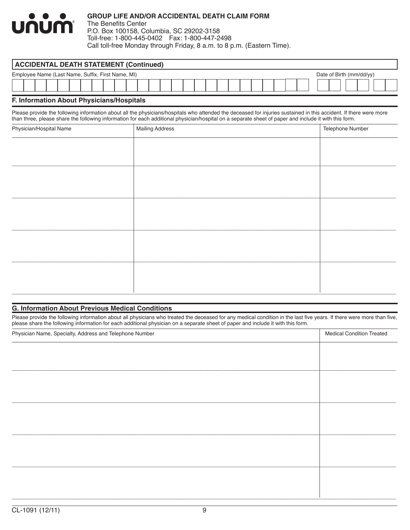#### **GROUP LIFE AND/OR ACCIDENTAL DEATH CLAIM FORM** <u>UNUM</u> The Benefits Center P.O. Box 100158, Columbia, SC 29202-3158 Toll-free: 1-800-445-0402 Fax: 1-800-447-2498 Call toll-free Monday through Friday, 8 a.m. to 8 p.m. (Eastern Time).

|                                                                               | <b>ACCIDENTAL DEATH STATEMENT (Continued)</b> |  |  |  |  |  |  |  |  |  |  |  |  |  |  |  |  |  |  |  |  |  |  |  |
|-------------------------------------------------------------------------------|-----------------------------------------------|--|--|--|--|--|--|--|--|--|--|--|--|--|--|--|--|--|--|--|--|--|--|--|
| Employee Name (Last Name, Suffix, First Name, MI)<br>Date of Birth (mm/dd/yy) |                                               |  |  |  |  |  |  |  |  |  |  |  |  |  |  |  |  |  |  |  |  |  |  |  |
|                                                                               |                                               |  |  |  |  |  |  |  |  |  |  |  |  |  |  |  |  |  |  |  |  |  |  |  |

#### **F. Information About Physicians/Hospitals**

Please provide the following information about all the physicians/hospitals who attended the deceased for injuries sustained in this accident. If there were more than three, please share the following information for each additional physician/hospital on a separate sheet of paper and include it with this form.

| Physician/Hospital Name | <b>Mailing Address</b> | Telephone Number |
|-------------------------|------------------------|------------------|
|                         |                        |                  |
|                         |                        |                  |
|                         |                        |                  |
|                         |                        |                  |
|                         |                        |                  |
|                         |                        |                  |
|                         |                        |                  |
|                         |                        |                  |
|                         |                        |                  |
|                         |                        |                  |
|                         |                        |                  |

#### **G. Information About Previous Medical Conditions**

Please provide the following information about all physicians who treated the deceased for any medical condition in the last five years. If there were more than five, please share the following information for each additional physician on a separate sheet of paper and include it with this form.

| Physician Name, Specialty, Address and Telephone Number | <b>Medical Condition Treated</b> |  |  |  |  |
|---------------------------------------------------------|----------------------------------|--|--|--|--|
|                                                         |                                  |  |  |  |  |
|                                                         |                                  |  |  |  |  |
|                                                         |                                  |  |  |  |  |
|                                                         |                                  |  |  |  |  |
|                                                         |                                  |  |  |  |  |
|                                                         |                                  |  |  |  |  |
|                                                         |                                  |  |  |  |  |
|                                                         |                                  |  |  |  |  |
|                                                         |                                  |  |  |  |  |
|                                                         |                                  |  |  |  |  |
|                                                         |                                  |  |  |  |  |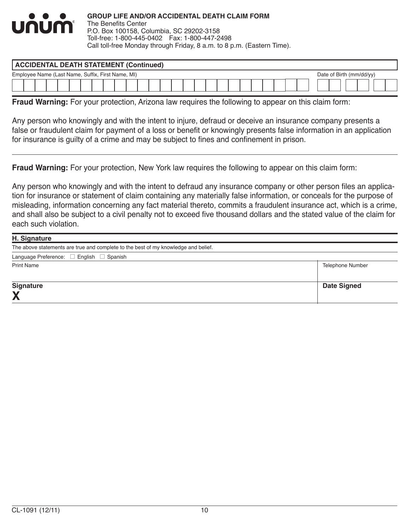

| <b>ACCIDENTAL DEATH STATEMENT (Continued)</b>     |  |  |  |  |  |  |  |  |  |  |  |  |  |  |  |  |  |  |  |                          |  |
|---------------------------------------------------|--|--|--|--|--|--|--|--|--|--|--|--|--|--|--|--|--|--|--|--------------------------|--|
| Employee Name (Last Name, Suffix, First Name, MI) |  |  |  |  |  |  |  |  |  |  |  |  |  |  |  |  |  |  |  | Date of Birth (mm/dd/yy) |  |
|                                                   |  |  |  |  |  |  |  |  |  |  |  |  |  |  |  |  |  |  |  |                          |  |

**Fraud Warning:** For your protection, Arizona law requires the following to appear on this claim form:

Any person who knowingly and with the intent to injure, defraud or deceive an insurance company presents a false or fraudulent claim for payment of a loss or benefit or knowingly presents false information in an application for insurance is guilty of a crime and may be subject to fines and confinement in prison.

**Fraud Warning:** For your protection, New York law requires the following to appear on this claim form:

Any person who knowingly and with the intent to defraud any insurance company or other person files an application for insurance or statement of claim containing any materially false information, or conceals for the purpose of misleading, information concerning any fact material thereto, commits a fraudulent insurance act, which is a crime, and shall also be subject to a civil penalty not to exceed five thousand dollars and the stated value of the claim for each such violation.

| H. Signature                                                                       |                         |  |  |  |  |  |
|------------------------------------------------------------------------------------|-------------------------|--|--|--|--|--|
| The above statements are true and complete to the best of my knowledge and belief. |                         |  |  |  |  |  |
| Language Preference: □ English □ Spanish                                           |                         |  |  |  |  |  |
| <b>Print Name</b>                                                                  | <b>Telephone Number</b> |  |  |  |  |  |
| <b>Signature</b>                                                                   | <b>Date Signed</b>      |  |  |  |  |  |
| X                                                                                  |                         |  |  |  |  |  |